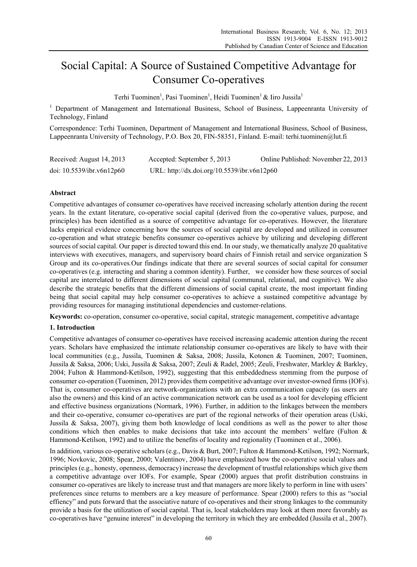# Social Capital: A Source of Sustained Competitive Advantage for Consumer Co-operatives

Terhi Tuominen<sup>1</sup>, Pasi Tuominen<sup>1</sup>, Heidi Tuominen<sup>1</sup> & Iiro Jussila<sup>1</sup>

<sup>1</sup> Department of Management and International Business, School of Business, Lappeenranta University of Technology, Finland

Correspondence: Terhi Tuominen, Department of Management and International Business, School of Business, Lappeenranta University of Technology, P.O. Box 20, FIN-58351, Finland. E-mail: terhi.tuominen@lut.fi

| Received: August 14, 2013    | Accepted: September 5, 2013                 | Online Published: November 22, 2013 |
|------------------------------|---------------------------------------------|-------------------------------------|
| doi: $10.5539$ /ibr.v6n12p60 | URL: http://dx.doi.org/10.5539/ibr.v6n12p60 |                                     |

# **Abstract**

Competitive advantages of consumer co-operatives have received increasing scholarly attention during the recent years. In the extant literature, co-operative social capital (derived from the co-operative values, purpose, and principles) has been identified as a source of competitive advantage for co-operatives. However, the literature lacks empirical evidence concerning how the sources of social capital are developed and utilized in consumer co-operation and what strategic benefits consumer co-operatives achieve by utilizing and developing different sources of social capital. Our paper is directed toward this end. In our study, we thematically analyze 20 qualitative interviews with executives, managers, and supervisory board chairs of Finnish retail and service organization S Group and its co-operatives*.*Our findings indicate that there are several sources of social capital for consumer co-operatives (e.g. interacting and sharing a common identity). Further, we consider how these sources of social capital are interrelated to different dimensions of social capital (communal, relational, and cognitive). We also describe the strategic benefits that the different dimensions of social capital create, the most important finding being that social capital may help consumer co-operatives to achieve a sustained competitive advantage by providing resources for managing institutional dependencies and customer-relations.

**Keywords:** co-operation, consumer co-operative, social capital, strategic management, competitive advantage

# **1. Introduction**

Competitive advantages of consumer co-operatives have received increasing academic attention during the recent years. Scholars have emphasized the intimate relationship consumer co-operatives are likely to have with their local communities (e.g., Jussila, Tuominen & Saksa, 2008; Jussila, Kotonen & Tuominen, 2007; Tuominen, Jussila & Saksa, 2006; Uski, Jussila & Saksa, 2007; Zeuli & Radel, 2005; Zeuli, Freshwater, Markley & Barkley, 2004; Fulton & Hammond-Ketilson, 1992), suggesting that this embeddedness stemming from the purpose of consumer co-operation (Tuominen, 2012) provides them competitive advantage over investor-owned firms (IOFs). That is, consumer co-operatives are network-organizations with an extra communication capacity (as users are also the owners) and this kind of an active communication network can be used as a tool for developing efficient and effective business organizations (Normark, 1996). Further, in addition to the linkages between the members and their co-operative, consumer co-operatives are part of the regional networks of their operation areas (Uski, Jussila & Saksa, 2007), giving them both knowledge of local conditions as well as the power to alter those conditions which then enables to make decisions that take into account the members' welfare (Fulton  $\&$ Hammond-Ketilson, 1992) and to utilize the benefits of locality and regionality (Tuominen et al., 2006).

In addition, various co-operative scholars (e.g., Davis & Burt, 2007; Fulton & Hammond-Ketilson, 1992; Normark, 1996; Novkovic, 2008; Spear, 2000; Valentinov, 2004) have emphasized how the co-operative social values and principles (e.g., honesty, openness, democracy) increase the development of trustful relationships which give them a competitive advantage over IOFs. For example, Spear (2000) argues that profit distribution constrains in consumer co-operatives are likely to increase trust and that managers are more likely to perform in line with users' preferences since returns to members are a key measure of performance. Spear (2000) refers to this as "social effiency" and puts forward that the associative nature of co-operatives and their strong linkages to the community provide a basis for the utilization of social capital. That is, local stakeholders may look at them more favorably as co-operatives have "genuine interest" in developing the territory in which they are embedded (Jussila et al., 2007).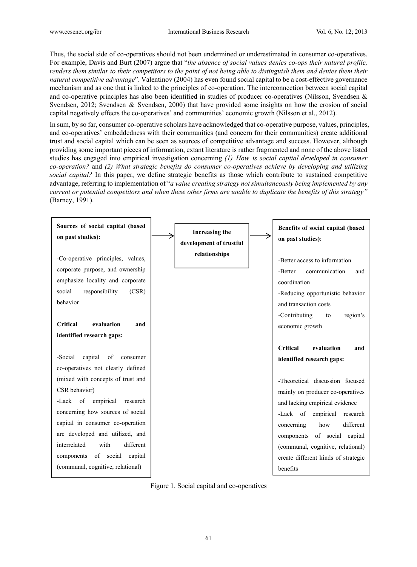Thus, the social side of co-operatives should not been undermined or underestimated in consumer co-operatives. For example, Davis and Burt (2007) argue that "*the absence of social values denies co-ops their natural profile, renders them similar to their competitors to the point of not being able to distinguish them and denies them their natural competitive advantage*". Valentinov (2004) has even found social capital to be a cost-effective governance mechanism and as one that is linked to the principles of co-operation. The interconnection between social capital and co-operative principles has also been identified in studies of producer co-operatives (Nilsson, Svendsen & Svendsen, 2012; Svendsen & Svendsen, 2000) that have provided some insights on how the erosion of social capital negatively effects the co-operatives' and communities' economic growth (Nilsson et al., 2012).

In sum, by so far, consumer co-operative scholars have acknowledged that co-operative purpose, values, principles, and co-operatives' embeddedness with their communities (and concern for their communities) create additional trust and social capital which can be seen as sources of competitive advantage and success. However, although providing some important pieces of information, extant literature is rather fragmented and none of the above listed studies has engaged into empirical investigation concerning *(1) How is social capital developed in consumer co-operation?* and *(2) What strategic benefits do consumer co-operatives achieve by developing and utilizing social capital?* In this paper, we define strategic benefits as those which contribute to sustained competitive advantage, referring to implementation of "*a value creating strategy not simultaneously being implemented by any current or potential competitors and when these other firms are unable to duplicate the benefits of this strategy"* (Barney, 1991).



Figure 1. Social capital and co-operatives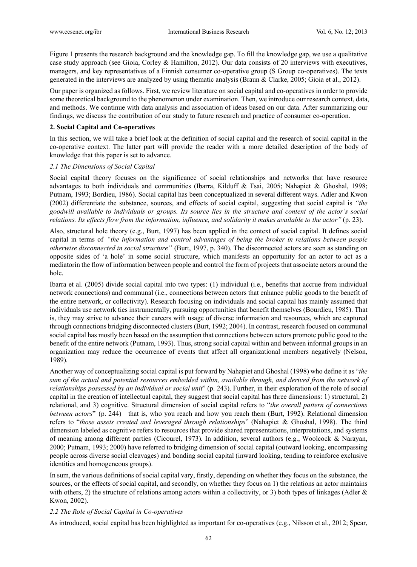Figure 1 presents the research background and the knowledge gap. To fill the knowledge gap, we use a qualitative case study approach (see Gioia, Corley & Hamilton, 2012). Our data consists of 20 interviews with executives, managers, and key representatives of a Finnish consumer co-operative group (S Group co-operatives). The texts generated in the interviews are analyzed by using thematic analysis (Braun & Clarke, 2005; Gioia et al., 2012).

Our paper is organized as follows. First, we review literature on social capital and co-operatives in order to provide some theoretical background to the phenomenon under examination. Then, we introduce our research context, data, and methods. We continue with data analysis and association of ideas based on our data. After summarizing our findings, we discuss the contribution of our study to future research and practice of consumer co-operation.

## **2. Social Capital and Co-operatives**

In this section, we will take a brief look at the definition of social capital and the research of social capital in the co-operative context. The latter part will provide the reader with a more detailed description of the body of knowledge that this paper is set to advance.

# *2.1 The Dimensions of Social Capital*

Social capital theory focuses on the significance of social relationships and networks that have resource advantages to both individuals and communities (Ibarra, Kilduff & Tsai, 2005; Nahapiet & Ghoshal, 1998; Putnam, 1993; Bordieu, 1986). Social capital has been conceptualized in several different ways. Adler and Kwon (2002) differentiate the substance, sources, and effects of social capital, suggesting that social capital is *"the goodwill available to individuals or groups. Its source lies in the structure and content of the actor's social relations. Its effects flow from the information, influence, and solidarity it makes available to the actor"* (p. 23).

Also, structural hole theory (e.g., Burt, 1997) has been applied in the context of social capital. It defines social capital in terms of *"the information and control advantages of being the broker in relations between people otherwise disconnected in social structure"* (Burt, 1997, p. 340)*.* The disconnected actors are seen as standing on opposite sides of 'a hole' in some social structure, which manifests an opportunity for an actor to act as a mediatorin the flow of information between people and control the form of projects that associate actors around the hole.

Ibarra et al. (2005) divide social capital into two types: (1) individual (i.e., benefits that accrue from individual network connections) and communal (i.e., connections between actors that enhance public goods to the benefit of the entire network, or collectivity). Research focusing on individuals and social capital has mainly assumed that individuals use network ties instrumentally, pursuing opportunities that benefit themselves (Bourdieu, 1985). That is, they may strive to advance their careers with usage of diverse information and resources, which are captured through connections bridging disconnected clusters (Burt, 1992; 2004). In contrast, research focused on communal social capital has mostly been based on the assumption that connections between actors promote public good to the benefit of the entire network (Putnam, 1993). Thus, strong social capital within and between informal groups in an organization may reduce the occurrence of events that affect all organizational members negatively (Nelson, 1989).

Another way of conceptualizing social capital is put forward by Nahapiet and Ghoshal (1998) who define it as "*the sum of the actual and potential resources embedded within, available through, and derived from the network of relationships possessed by an individual or social unit*" (p. 243). Further, in their exploration of the role of social capital in the creation of intellectual capital, they suggest that social capital has three dimensions: 1) structural, 2) relational, and 3) cognitive. Structural dimension of social capital refers to "*the overall pattern of connections between actors*" (p. 244)—that is, who you reach and how you reach them (Burt, 1992). Relational dimension refers to "*those assets created and leveraged through relationships*" (Nahapiet & Ghoshal, 1998). The third dimension labeled as cognitive refers to resources that provide shared representations, interpretations, and systems of meaning among different parties (Cicourel, 1973)*.* In addition, several authors (e.g., Woolcock & Narayan, 2000; Putnam, 1993; 2000) have referred to bridging dimension of social capital (outward looking, encompassing people across diverse social cleavages) and bonding social capital (inward looking, tending to reinforce exclusive identities and homogeneous groups).

In sum, the various definitions of social capital vary, firstly, depending on whether they focus on the substance, the sources, or the effects of social capital, and secondly, on whether they focus on 1) the relations an actor maintains with others, 2) the structure of relations among actors within a collectivity, or 3) both types of linkages (Adler  $\&$ Kwon, 2002).

## *2.2 The Role of Social Capital in Co-operatives*

As introduced, social capital has been highlighted as important for co-operatives (e.g., Nilsson et al., 2012; Spear,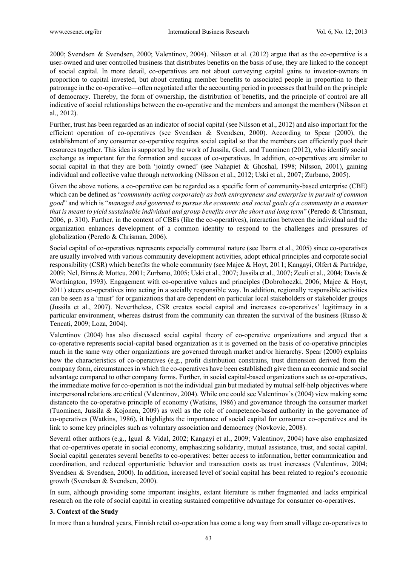2000; Svendsen & Svendsen, 2000; Valentinov, 2004). Nilsson et al. (2012) argue that as the co-operative is a user-owned and user controlled business that distributes benefits on the basis of use, they are linked to the concept of social capital. In more detail, co-operatives are not about conveying capital gains to investor-owners in proportion to capital invested, but about creating member benefits to associated people in proportion to their patronage in the co-operative—often negotiated after the accounting period in processes that build on the principle of democracy. Thereby, the form of ownership, the distribution of benefits, and the principle of control are all indicative of social relationships between the co-operative and the members and amongst the members (Nilsson et al., 2012).

Further, trust has been regarded as an indicator of social capital (see Nilsson et al., 2012) and also important for the efficient operation of co-operatives (see Svendsen & Svendsen, 2000). According to Spear (2000), the establishment of any consumer co-operative requires social capital so that the members can efficiently pool their resources together. This idea is supported by the work of Jussila, Goel, and Tuominen (2012), who identify social exchange as important for the formation and success of co-operatives. In addition, co-operatives are similar to social capital in that they are both 'jointly owned' (see Nahapiet & Ghoshal, 1998; Nilsson, 2001), gaining individual and collective value through networking (Nilsson et al., 2012; Uski et al., 2007; Zurbano, 2005).

Given the above notions, a co-operative can be regarded as a specific form of community-based enterprise (CBE) which can be defined as "*community acting corporately as both entrepreneur and enterprise in pursuit of common good*" and which is "*managed and governed to pursue the economic and social goals of a community in a manner that is meant to yield sustainable individual and group benefits over the short and long term*" (Peredo & Chrisman, 2006, p. 310). Further, in the context of CBEs (like the co-operatives), interaction between the individual and the organization enhances development of a common identity to respond to the challenges and pressures of globalization (Peredo & Chrisman, 2006).

Social capital of co-operatives represents especially communal nature (see Ibarra et al., 2005) since co-operatives are usually involved with various community development activities, adopt ethical principles and corporate social responsibility (CSR) which benefits the whole community (see Majee & Hoyt, 2011; Kangayi, Olfert & Partridge, 2009; Nel, Binns & Motteu, 2001; Zurbano, 2005; Uski et al., 2007; Jussila et al., 2007; Zeuli et al., 2004; Davis & Worthington, 1993). Engagement with co-operative values and principles (Dobrohoczki, 2006; Majee & Hoyt, 2011) steers co-operatives into acting in a socially responsible way. In addition, regionally responsible activities can be seen as a 'must' for organizations that are dependent on particular local stakeholders or stakeholder groups (Jussila et al., 2007). Nevertheless, CSR creates social capital and increases co-operatives' legitimacy in a particular environment, whereas distrust from the community can threaten the survival of the business (Russo & Tencati, 2009; Loza, 2004).

Valentinov (2004) has also discussed social capital theory of co-operative organizations and argued that a co-operative represents social-capital based organization as it is governed on the basis of co-operative principles much in the same way other organizations are governed through market and/or hierarchy. Spear (2000) explains how the characteristics of co-operatives (e.g., profit distribution constrains, trust dimension derived from the company form, circumstances in which the co-operatives have been established) give them an economic and social advantage compared to other company forms. Further, in social capital-based organizations such as co-operatives, the immediate motive for co-operation is not the individual gain but mediated by mutual self-help objectives where interpersonal relations are critical (Valentinov, 2004). While one could see Valentinov's (2004) view making some distanceto the co-operative principle of economy (Watkins, 1986) and governance through the consumer market (Tuominen, Jussila & Kojonen, 2009) as well as the role of competence-based authority in the governance of co-operatives (Watkins, 1986), it highlights the importance of social capital for consumer co-operatives and its link to some key principles such as voluntary association and democracy (Novkovic, 2008).

Several other authors (e.g., Igual & Vidal, 2002; Kangayi et al., 2009; Valentinov, 2004) have also emphasized that co-operatives operate in social economy, emphasizing solidarity, mutual assistance, trust, and social capital. Social capital generates several benefits to co-operatives: better access to information, better communication and coordination, and reduced opportunistic behavior and transaction costs as trust increases (Valentinov, 2004; Svendsen & Svendsen, 2000). In addition, increased level of social capital has been related to region's economic growth (Svendsen & Svendsen, 2000).

In sum, although providing some important insights, extant literature is rather fragmented and lacks empirical research on the role of social capital in creating sustained competitive advantage for consumer co-operatives.

## **3. Context of the Study**

In more than a hundred years, Finnish retail co-operation has come a long way from small village co-operatives to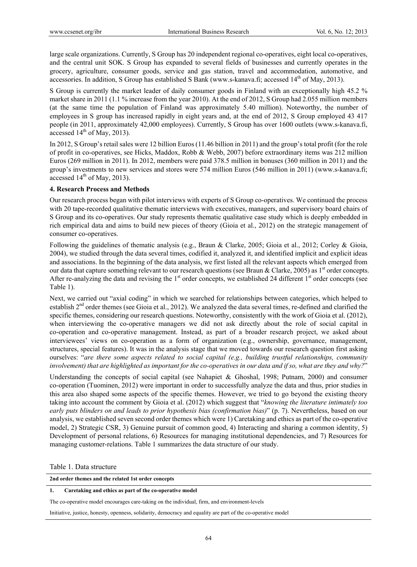large scale organizations. Currently, S Group has 20 independent regional co-operatives, eight local co-operatives, and the central unit SOK. S Group has expanded to several fields of businesses and currently operates in the grocery, agriculture, consumer goods, service and gas station, travel and accommodation, automotive, and accessories. In addition, S Group has established S Bank (www.s-kanava.fi; accessed  $14<sup>th</sup>$  of May, 2013).

S Group is currently the market leader of daily consumer goods in Finland with an exceptionally high 45.2 % market share in 2011 (1.1 % increase from the year 2010). At the end of 2012, S Group had 2.055 million members (at the same time the population of Finland was approximately 5.40 million). Noteworthy, the number of employees in S group has increased rapidly in eight years and, at the end of 2012, S Group employed 43 417 people (in 2011, approximately 42,000 employees). Currently, S Group has over 1600 outlets (www.s-kanava.fi, accessed  $14<sup>th</sup>$  of May, 2013).

In 2012, S Group's retail sales were 12 billion Euros (11.46 billion in 2011) and the group's total profit (for the role of profit in co-operatives, see Hicks, Maddox, Robb & Webb, 2007) before extraordinary items was 212 million Euros (269 million in 2011). In 2012, members were paid 378.5 million in bonuses (360 million in 2011) and the group's investments to new services and stores were 574 million Euros (546 million in 2011) (www.s-kanava.fi; accessed  $14<sup>th</sup>$  of May, 2013).

# **4. Research Process and Methods**

Our research process began with pilot interviews with experts of S Group co-operatives. We continued the process with 20 tape-recorded qualitative thematic interviews with executives, managers, and supervisory board chairs of S Group and its co-operatives. Our study represents thematic qualitative case study which is deeply embedded in rich empirical data and aims to build new pieces of theory (Gioia et al., 2012) on the strategic management of consumer co-operatives.

Following the guidelines of thematic analysis (e.g., Braun & Clarke, 2005; Gioia et al., 2012; Corley & Gioia, 2004), we studied through the data several times, codified it, analyzed it, and identified implicit and explicit ideas and associations. In the beginning of the data analysis, we first listed all the relevant aspects which emerged from our data that capture something relevant to our research questions (see Braun & Clarke, 2005) as  $1<sup>st</sup>$  order concepts. After re-analyzing the data and revising the  $1<sup>st</sup>$  order concepts, we established 24 different  $1<sup>st</sup>$  order concepts (see Table 1).

Next, we carried out "axial coding" in which we searched for relationships between categories, which helped to establish  $2<sup>nd</sup>$  order themes (see Gioia et al., 2012). We analyzed the data several times, re-defined and clarified the specific themes, considering our research questions. Noteworthy, consistently with the work of Gioia et al. (2012), when interviewing the co-operative managers we did not ask directly about the role of social capital in co-operation and co-operative management. Instead, as part of a broader research project, we asked about interviewees' views on co-operation as a form of organization (e.g., ownership, governance, management, structures, special features). It was in the analysis stage that we moved towards our research question first asking ourselves: "*are there some aspects related to social capital (e.g., building trustful relationships, community involvement) that are highlighted as important for the co-operatives in our data and if so, what are they and why?*"

Understanding the concepts of social capital (see Nahapiet & Ghoshal, 1998; Putnam, 2000) and consumer co-operation (Tuominen, 2012) were important in order to successfully analyze the data and thus, prior studies in this area also shaped some aspects of the specific themes. However, we tried to go beyond the existing theory taking into account the comment by Gioia et al. (2012) which suggest that "*knowing the literature intimately too early puts blinders on and leads to prior hypothesis bias (confirmation bias)*" (p. 7). Nevertheless, based on our analysis, we established seven second order themes which were 1) Caretaking and ethics as part of the co-operative model, 2) Strategic CSR, 3) Genuine pursuit of common good, 4) Interacting and sharing a common identity, 5) Development of personal relations, 6) Resources for managing institutional dependencies, and 7) Resources for managing customer-relations. Table 1 summarizes the data structure of our study.

## Table 1. Data structure

**2nd order themes and the related 1st order concepts** 

## **1. Caretaking and ethics as part of the co-operative model**

The co-operative model encourages care-taking on the individual, firm, and environment-levels

Initiative, justice, honesty, openness, solidarity, democracy and equality are part of the co-operative model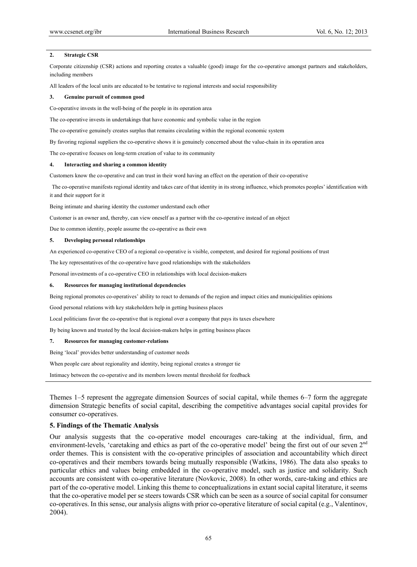#### **2. Strategic CSR**

Corporate citizenship (CSR) actions and reporting creates a valuable (good) image for the co-operative amongst partners and stakeholders, including members

All leaders of the local units are educated to be tentative to regional interests and social responsibility

#### **3. Genuine pursuit of common good**

Co-operative invests in the well-being of the people in its operation area

The co-operative invests in undertakings that have economic and symbolic value in the region

The co-operative genuinely creates surplus that remains circulating within the regional economic system

By favoring regional suppliers the co-operative shows it is genuinely concerned about the value-chain in its operation area

The co-operative focuses on long-term creation of value to its community

#### **4. Interacting and sharing a common identity**

Customers know the co-operative and can trust in their word having an effect on the operation of their co-operative

 The co-operative manifests regional identity and takes care of that identity in its strong influence, which promotes peoples' identification with it and their support for it

Being intimate and sharing identity the customer understand each other

Customer is an owner and, thereby, can view oneself as a partner with the co-operative instead of an object

Due to common identity, people assume the co-operative as their own

#### **5. Developing personal relationships**

An experienced co-operative CEO of a regional co-operative is visible, competent, and desired for regional positions of trust

The key representatives of the co-operative have good relationships with the stakeholders

Personal investments of a co-operative CEO in relationships with local decision-makers

#### **6. Resources for managing institutional dependencies**

Being regional promotes co-operatives' ability to react to demands of the region and impact cities and municipalities opinions

Good personal relations with key stakeholders help in getting business places

Local politicians favor the co-operative that is regional over a company that pays its taxes elsewhere

By being known and trusted by the local decision-makers helps in getting business places

#### **7. Resources for managing customer-relations**

Being 'local' provides better understanding of customer needs

When people care about regionality and identity, being regional creates a stronger tie

Intimacy between the co-operative and its members lowers mental threshold for feedback

Themes 1–5 represent the aggregate dimension Sources of social capital, while themes 6–7 form the aggregate dimension Strategic benefits of social capital, describing the competitive advantages social capital provides for consumer co-operatives.

#### **5. Findings of the Thematic Analysis**

Our analysis suggests that the co-operative model encourages care-taking at the individual, firm, and environment-levels, 'caretaking and ethics as part of the co-operative model' being the first out of our seven 2<sup>nd</sup> order themes. This is consistent with the co-operative principles of association and accountability which direct co-operatives and their members towards being mutually responsible (Watkins, 1986). The data also speaks to particular ethics and values being embedded in the co-operative model, such as justice and solidarity. Such accounts are consistent with co-operative literature (Novkovic, 2008). In other words, care-taking and ethics are part of the co-operative model. Linking this theme to conceptualizations in extant social capital literature, it seems that the co-operative model per se steers towards CSR which can be seen as a source of social capital for consumer co-operatives. In this sense, our analysis aligns with prior co-operative literature of social capital (e.g., Valentinov, 2004).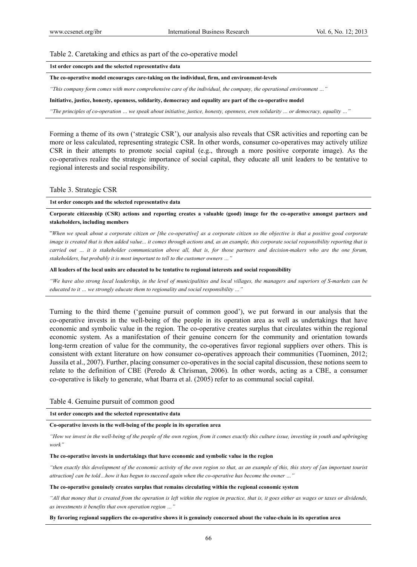## Table 2. Caretaking and ethics as part of the co-operative model

## **1st order concepts and the selected representative data**

**The co-operative model encourages care-taking on the individual, firm, and environment-levels** 

*"This company form comes with more comprehensive care of the individual, the company, the operational environment …"* 

**Initiative, justice, honesty, openness, solidarity, democracy and equality are part of the co-operative model** 

*"The principles of co-operation … we speak about initiative, justice, honesty, openness, even solidarity … or democracy, equality …"*

Forming a theme of its own ('strategic CSR'), our analysis also reveals that CSR activities and reporting can be more or less calculated, representing strategic CSR. In other words, consumer co-operatives may actively utilize CSR in their attempts to promote social capital (e.g., through a more positive corporate image). As the co-operatives realize the strategic importance of social capital, they educate all unit leaders to be tentative to regional interests and social responsibility.

## Table 3. Strategic CSR

**1st order concepts and the selected representative data** 

**Corporate citizenship (CSR) actions and reporting creates a valuable (good) image for the co-operative amongst partners and stakeholders, including members** 

"*When we speak about a corporate citizen or [the co-operative] as a corporate citizen so the objective is that a positive good corporate image is created that is then added value... it comes through actions and, as an example, this corporate social responsibility reporting that is carried out … it is stakeholder communication above all, that is, for those partners and decision-makers who are the one forum, stakeholders, but probably it is most important to tell to the customer owners …"*

**All leaders of the local units are educated to be tentative to regional interests and social responsibility** 

*"We have also strong local leadership, in the level of municipalities and local villages, the managers and superiors of S-markets can be educated to it … we strongly educate them to regionality and social responsibility …"* 

Turning to the third theme ('genuine pursuit of common good'), we put forward in our analysis that the co-operative invests in the well-being of the people in its operation area as well as undertakings that have economic and symbolic value in the region. The co-operative creates surplus that circulates within the regional economic system. As a manifestation of their genuine concern for the community and orientation towards long-term creation of value for the community, the co-operatives favor regional suppliers over others. This is consistent with extant literature on how consumer co-operatives approach their communities (Tuominen, 2012; Jussila et al., 2007). Further, placing consumer co-operatives in the social capital discussion, these notions seem to relate to the definition of CBE (Peredo & Chrisman, 2006). In other words, acting as a CBE, a consumer co-operative is likely to generate, what Ibarra et al. (2005) refer to as communal social capital.

Table 4. Genuine pursuit of common good

**1st order concepts and the selected representative data** 

## **Co-operative invests in the well-being of the people in its operation area**

*"How we invest in the well-being of the people of the own region, from it comes exactly this culture issue, investing in youth and upbringing work"*

**The co-operative invests in undertakings that have economic and symbolic value in the region** 

*"then exactly this development of the economic activity of the own region so that, as an example of this, this story of [an important tourist attraction] can be told…how it has begun to succeed again when the co-operative has become the owner …"*

## **The co-operative genuinely creates surplus that remains circulating within the regional economic system**

*"All that money that is created from the operation is left within the region in practice, that is, it goes either as wages or taxes or dividends, as investments it benefits that own operation region …"*

**By favoring regional suppliers the co-operative shows it is genuinely concerned about the value-chain in its operation area**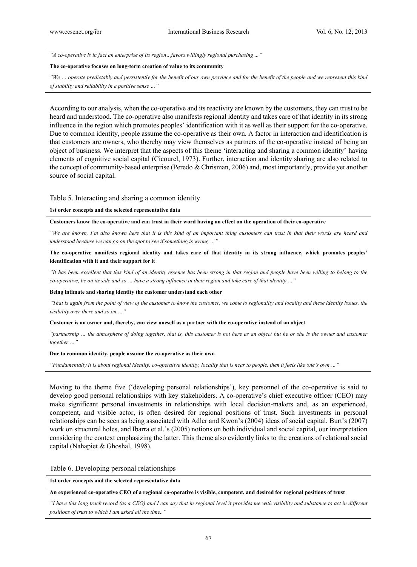*"A co-operative is in fact an enterprise of its region…favors willingly regional purchasing ..."* 

## **The co-operative focuses on long-term creation of value to its community**

*"We … operate predictably and persistently for the benefit of our own province and for the benefit of the people and we represent this kind of stability and reliability in a positive sense …"*

According to our analysis, when the co-operative and its reactivity are known by the customers, they can trust to be heard and understood. The co-operative also manifests regional identity and takes care of that identity in its strong influence in the region which promotes peoples' identification with it as well as their support for the co-operative. Due to common identity, people assume the co-operative as their own. A factor in interaction and identification is that customers are owners, who thereby may view themselves as partners of the co-operative instead of being an object of business. We interpret that the aspects of this theme 'interacting and sharing a common identity' having elements of cognitive social capital (Cicourel, 1973). Further, interaction and identity sharing are also related to the concept of community-based enterprise (Peredo & Chrisman, 2006) and, most importantly, provide yet another source of social capital.

## Table 5. Interacting and sharing a common identity

**1st order concepts and the selected representative data** 

**Customers know the co-operative and can trust in their word having an effect on the operation of their co-operative** 

*"We are known, I'm also known here that it is this kind of an important thing customers can trust in that their words are heard and understood because we can go on the spot to see if something is wrong …"* 

## **The co-operative manifests regional identity and takes care of that identity in its strong influence, which promotes peoples' identification with it and their support for it**

*"It has been excellent that this kind of an identity essence has been strong in that region and people have been willing to belong to the co-operative, be on its side and so … have a strong influence in their region and take care of that identity …"*

# **Being intimate and sharing identity the customer understand each other**

*"That is again from the point of view of the customer to know the customer, we come to regionality and locality and these identity issues, the visibility over there and so on …"* 

**Customer is an owner and, thereby, can view oneself as a partner with the co-operative instead of an object** 

*"partnership … the atmosphere of doing together, that is, this customer is not here as an object but he or she is the owner and customer together …"*

## **Due to common identity, people assume the co-operative as their own**

*"Fundamentally it is about regional identity, co-operative identity, locality that is near to people, then it feels like one's own …"*

Moving to the theme five ('developing personal relationships'), key personnel of the co-operative is said to develop good personal relationships with key stakeholders. A co-operative's chief executive officer (CEO) may make significant personal investments in relationships with local decision-makers and, as an experienced, competent, and visible actor, is often desired for regional positions of trust. Such investments in personal relationships can be seen as being associated with Adler and Kwon's (2004) ideas of social capital, Burt's (2007) work on structural holes, and Ibarra et al.'s (2005) notions on both individual and social capital, our interpretation considering the context emphasizing the latter. This theme also evidently links to the creations of relational social capital (Nahapiet & Ghoshal, 1998).

Table 6. Developing personal relationships

**1st order concepts and the selected representative data** 

**An experienced co-operative CEO of a regional co-operative is visible, competent, and desired for regional positions of trust** 

*"I have this long track record (as a CEO) and I can say that in regional level it provides me with visibility and substance to act in different positions of trust to which I am asked all the time.."*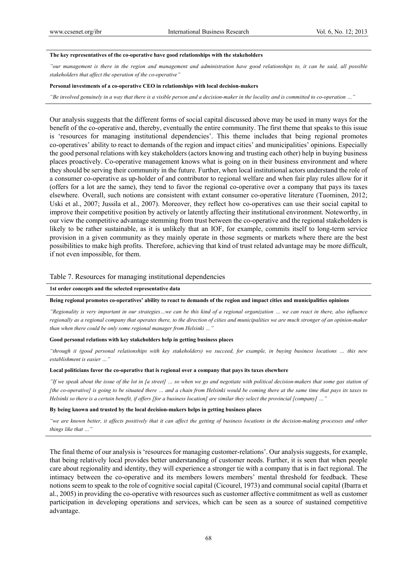### **The key representatives of the co-operative have good relationships with the stakeholders**

*"our management is there in the region and management and administration have good relationships to, it can be said, all possible stakeholders that affect the operation of the co-operative"*

#### **Personal investments of a co-operative CEO in relationships with local decision-makers**

*"Be involved genuinely in a way that there is a visible person and a decision-maker in the locality and is committed to co-operation …"*

Our analysis suggests that the different forms of social capital discussed above may be used in many ways for the benefit of the co-operative and, thereby, eventually the entire community. The first theme that speaks to this issue is 'resources for managing institutional dependencies'. This theme includes that being regional promotes co-operatives' ability to react to demands of the region and impact cities' and municipalities' opinions. Especially the good personal relations with key stakeholders (actors knowing and trusting each other) help in buying business places proactively. Co-operative management knows what is going on in their business environment and where they should be serving their community in the future. Further, when local institutional actors understand the role of a consumer co-operative as up-holder of and contributor to regional welfare and when fair play rules allow for it (offers for a lot are the same), they tend to favor the regional co-operative over a company that pays its taxes elsewhere. Overall, such notions are consistent with extant consumer co-operative literature (Tuominen, 2012; Uski et al., 2007; Jussila et al., 2007). Moreover, they reflect how co-operatives can use their social capital to improve their competitive position by actively or latently affecting their institutional environment. Noteworthy, in our view the competitive advantage stemming from trust between the co-operative and the regional stakeholders is likely to be rather sustainable, as it is unlikely that an IOF, for example, commits itself to long-term service provision in a given community as they mainly operate in those segments or markets where there are the best possibilities to make high profits. Therefore, achieving that kind of trust related advantage may be more difficult, if not even impossible, for them.

#### Table 7. Resources for managing institutional dependencies

#### **1st order concepts and the selected representative data**

**Being regional promotes co-operatives' ability to react to demands of the region and impact cities and municipalities opinions** 

*"Regionality is very important in our strategies…we can be this kind of a regional organization … we can react in there, also influence regionally as a regional company that operates there, to the direction of cities and municipalities we are much stronger of an opinion-maker than when there could be only some regional manager from Helsinki …"*

#### **Good personal relations with key stakeholders help in getting business places**

*"through it (good personal relationships with key stakeholders) we succeed, for example, in buying business locations … this new establishment is easier …"*

## **Local politicians favor the co-operative that is regional over a company that pays its taxes elsewhere**

*"If we speak about the issue of the lot in [a street] … so when we go and negotiate with political decision-makers that some gas station of [the co-operative] is going to be situated there … and a chain from Helsinki would be coming there at the same time that pays its taxes to Helsinki so there is a certain benefit, if offers [for a business location] are similar they select the provincial [company] …"*

#### **By being known and trusted by the local decision-makers helps in getting business places**

*"we are known better, it affects positively that it can affect the getting of business locations in the decision-making processes and other things like that …"*

The final theme of our analysis is 'resources for managing customer-relations'. Our analysis suggests, for example, that being relatively local provides better understanding of customer needs. Further, it is seen that when people care about regionality and identity, they will experience a stronger tie with a company that is in fact regional. The intimacy between the co-operative and its members lowers members' mental threshold for feedback. These notions seem to speak to the role of cognitive social capital (Cicourel, 1973) and communal social capital (Ibarra et al., 2005) in providing the co-operative with resources such as customer affective commitment as well as customer participation in developing operations and services, which can be seen as a source of sustained competitive advantage.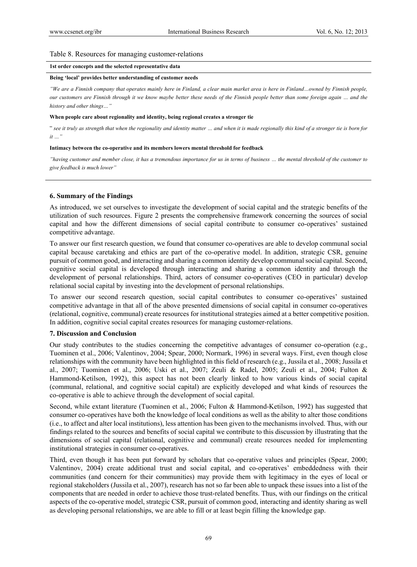#### Table 8. Resources for managing customer-relations

#### **1st order concepts and the selected representative data**

#### **Being 'local' provides better understanding of customer needs**

*"We are a Finnish company that operates mainly here in Finland, a clear main market area is here in Finland…owned by Finnish people, our customers are Finnish through it we know maybe better these needs of the Finnish people better than some foreign again … and the history and other things…"*

#### **When people care about regionality and identity, being regional creates a stronger tie**

" *see it truly as strength that when the regionality and identity matter … and when it is made regionally this kind of a stronger tie is born for it …"*

#### **Intimacy between the co-operative and its members lowers mental threshold for feedback**

*"having customer and member close, it has a tremendous importance for us in terms of business … the mental threshold of the customer to give feedback is much lower"*

#### **6. Summary of the Findings**

As introduced, we set ourselves to investigate the development of social capital and the strategic benefits of the utilization of such resources. Figure 2 presents the comprehensive framework concerning the sources of social capital and how the different dimensions of social capital contribute to consumer co-operatives' sustained competitive advantage.

To answer our first research question, we found that consumer co-operatives are able to develop communal social capital because caretaking and ethics are part of the co-operative model. In addition, strategic CSR, genuine pursuit of common good, and interacting and sharing a common identity develop communal social capital. Second, cognitive social capital is developed through interacting and sharing a common identity and through the development of personal relationships. Third, actors of consumer co-operatives (CEO in particular) develop relational social capital by investing into the development of personal relationships.

To answer our second research question, social capital contributes to consumer co-operatives' sustained competitive advantage in that all of the above presented dimensions of social capital in consumer co-operatives (relational, cognitive, communal) create resources for institutional strategies aimed at a better competitive position. In addition, cognitive social capital creates resources for managing customer-relations.

## **7. Discussion and Conclusion**

Our study contributes to the studies concerning the competitive advantages of consumer co-operation (e.g., Tuominen et al., 2006; Valentinov, 2004; Spear, 2000; Normark, 1996) in several ways. First, even though close relationships with the community have been highlighted in this field of research (e.g., Jussila et al., 2008; Jussila et al., 2007; Tuominen et al., 2006; Uski et al., 2007; Zeuli & Radel, 2005; Zeuli et al., 2004; Fulton & Hammond-Ketilson, 1992), this aspect has not been clearly linked to how various kinds of social capital (communal, relational, and cognitive social capital) are explicitly developed and what kinds of resources the co-operative is able to achieve through the development of social capital.

Second, while extant literature (Tuominen et al., 2006; Fulton & Hammond-Ketilson, 1992) has suggested that consumer co-operatives have both the knowledge of local conditions as well as the ability to alter those conditions (i.e., to affect and alter local institutions), less attention has been given to the mechanisms involved. Thus, with our findings related to the sources and benefits of social capital we contribute to this discussion by illustrating that the dimensions of social capital (relational, cognitive and communal) create resources needed for implementing institutional strategies in consumer co-operatives.

Third, even though it has been put forward by scholars that co-operative values and principles (Spear, 2000; Valentinov, 2004) create additional trust and social capital, and co-operatives' embeddedness with their communities (and concern for their communities) may provide them with legitimacy in the eyes of local or regional stakeholders (Jussila et al., 2007), research has not so far been able to unpack these issues into a list of the components that are needed in order to achieve those trust-related benefits. Thus, with our findings on the critical aspects of the co-operative model, strategic CSR, pursuit of common good, interacting and identity sharing as well as developing personal relationships, we are able to fill or at least begin filling the knowledge gap.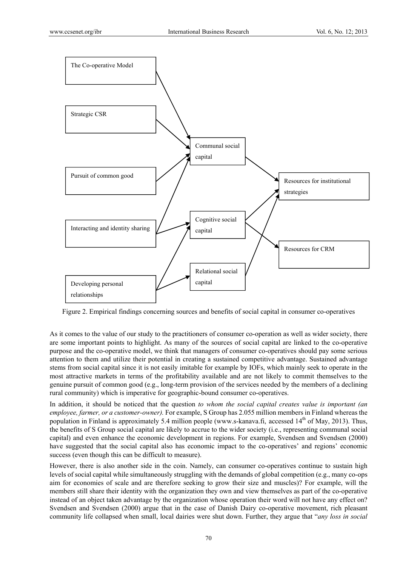

Figure 2. Empirical findings concerning sources and benefits of social capital in consumer co-operatives

As it comes to the value of our study to the practitioners of consumer co-operation as well as wider society, there are some important points to highlight. As many of the sources of social capital are linked to the co-operative purpose and the co-operative model, we think that managers of consumer co-operatives should pay some serious attention to them and utilize their potential in creating a sustained competitive advantage. Sustained advantage stems from social capital since it is not easily imitable for example by IOFs, which mainly seek to operate in the most attractive markets in terms of the profitability available and are not likely to commit themselves to the genuine pursuit of common good (e.g., long-term provision of the services needed by the members of a declining rural community) which is imperative for geographic-bound consumer co-operatives.

In addition, it should be noticed that the question *to whom the social capital creates value is important (an employee, farmer, or a customer-owner).* For example, S Group has 2.055 million members in Finland whereas the population in Finland is approximately 5.4 million people (www.s-kanava.fi, accessed  $14<sup>th</sup>$  of May, 2013). Thus, the benefits of S Group social capital are likely to accrue to the wider society (i.e., representing communal social capital) and even enhance the economic development in regions. For example, Svendsen and Svendsen (2000) have suggested that the social capital also has economic impact to the co-operatives' and regions' economic success (even though this can be difficult to measure).

However, there is also another side in the coin. Namely, can consumer co-operatives continue to sustain high levels of social capital while simultaneously struggling with the demands of global competition (e.g., many co-ops aim for economies of scale and are therefore seeking to grow their size and muscles)? For example, will the members still share their identity with the organization they own and view themselves as part of the co-operative instead of an object taken advantage by the organization whose operation their word will not have any effect on? Svendsen and Svendsen (2000) argue that in the case of Danish Dairy co-operative movement, rich pleasant community life collapsed when small, local dairies were shut down. Further, they argue that "*any loss in social*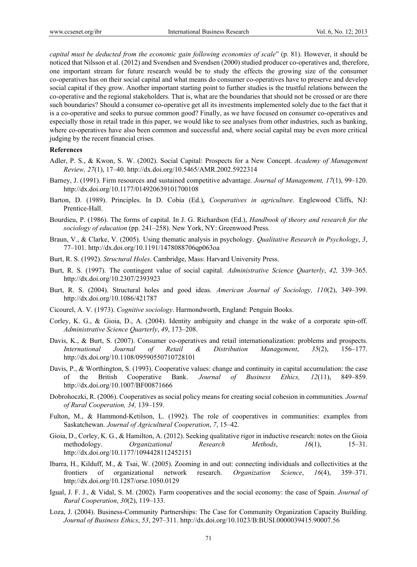*capital must be deducted from the economic gain following economies of scale*" (p. 81). However, it should be noticed that Nilsson et al. (2012) and Svendsen and Svendsen (2000) studied producer co-operatives and, therefore, one important stream for future research would be to study the effects the growing size of the consumer co-operatives has on their social capital and what means do consumer co-operatives have to preserve and develop social capital if they grow. Another important starting point to further studies is the trustful relations between the co-operative and the regional stakeholders. That is, what are the boundaries that should not be crossed or are there such boundaries? Should a consumer co-operative get all its investments implemented solely due to the fact that it is a co-operative and seeks to pursue common good? Finally, as we have focused on consumer co-operatives and especially those in retail trade in this paper, we would like to see analyses from other industries, such as banking, where co-operatives have also been common and successful and, where social capital may be even more critical judging by the recent financial crises.

## **References**

- Adler, P. S., & Kwon, S. W. (2002). Social Capital: Prospects for a New Concept. *Academy of Management Review, 27*(1), 17–40. http://dx.doi.org/10.5465/AMR.2002.5922314
- Barney, J. (1991). Firm resources and sustained competitive advantage. *Journal of Management, 17*(1), 99–120. http://dx.doi.org/10.1177/014920639101700108
- Barton, D. (1989). Principles. In D. Cobia (Ed.), *Cooperatives in agriculture*. Englewood Cliffs, NJ: Prentice-Hall.
- Bourdieu, P. (1986). The forms of capital. In J. G. Richardson (Ed.), *Handbook of theory and research for the sociology of education* (pp. 241–258). New York, NY: Greenwood Press.
- Braun, V., & Clarke, V. (2005). Using thematic analysis in psychology. *Qualitative Research in Psychology*, *3*, 77–101. http://dx.doi.org/10.1191/1478088706qp063oa
- Burt, R. S. (1992). *Structural Holes*. Cambridge, Mass: Harvard University Press.
- Burt, R. S. (1997). The contingent value of social capital. *Administrative Science Quarterly*, *42,* 339–365. http://dx.doi.org/10.2307/2393923
- Burt, R. S. (2004). Structural holes and good ideas. *American Journal of Sociology, 110*(2), 349–399. http://dx.doi.org/10.1086/421787
- Cicourel, A. V. (1973). *Cognitive sociology*. Harmondworth, England: Penguin Books.
- Corley, K. G., & Gioia, D., A. (2004). Identity ambiguity and change in the wake of a corporate spin-off. *Administrative Science Quarterly*, *49*, 173–208.
- Davis, K., & Burt, S. (2007). Consumer co-operatives and retail internationalization: problems and prospects. *International Journal of Retail & Distribution Management*, *35*(2), 156–177. http://dx.doi.org/10.1108/09590550710728101
- Davis, P., & Worthington, S. (1993). Cooperative values: change and continuity in capital accumulation: the case of the British Cooperative Bank. *Journal of Business Ethics, 12*(11), 849–859. http://dx.doi.org/10.1007/BF00871666
- Dobrohoczki, R. (2006). Cooperatives as social policy means for creating social cohesion in communities*. Journal of Rural Cooperation, 34,* 139–159.
- Fulton, M., & Hammond-Ketilson, L. (1992). The role of cooperatives in communities: examples from Saskatchewan. *Journal of Agricultural Cooperation*, *7*, 15–42.
- Gioia, D., Corley, K. G., & Hamilton, A. (2012). Seeking qualitative rigor in inductive research: notes on the Gioia methodology. *Organizational Research Methods*, *16*(1), 15–31. http://dx.doi.org/10.1177/1094428112452151
- Ibarra, H., Kilduff, M., & Tsai, W. (2005). Zooming in and out: connecting individuals and collectivities at the frontiers of organizational network research. *Organization Science*, *16*(4), 359–371. http://dx.doi.org/10.1287/orse.1050.0129
- Igual, J. F. J., & Vidal, S. M. (2002). Farm cooperatives and the social economy: the case of Spain. *Journal of Rural Cooperation*, *30*(2), 119–133.
- Loza, J. (2004). Business-Community Partnerships: The Case for Community Organization Capacity Building. *Journal of Business Ethics*, *53*, 297–311. http://dx.doi.org/10.1023/B:BUSI.0000039415.90007.56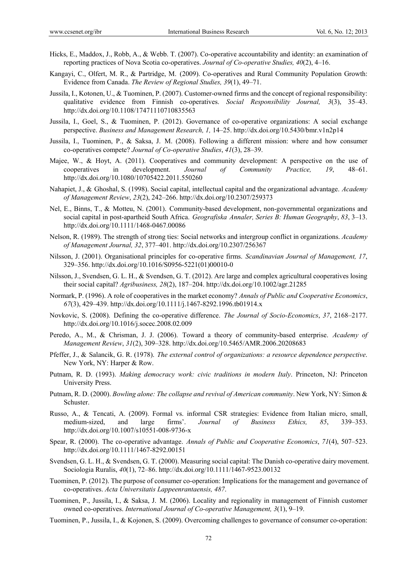- Hicks, E., Maddox, J., Robb, A., & Webb. T. (2007). Co-operative accountability and identity: an examination of reporting practices of Nova Scotia co-operatives. *Journal of Co-operative Studies, 40*(2), 4–16.
- Kangayi, C., Olfert, M. R., & Partridge, M. (2009). Co-operatives and Rural Community Population Growth: Evidence from Canada. *The Review of Regional Studies, 39*(1), 49–71.
- Jussila, I., Kotonen, U., & Tuominen, P. (2007). Customer-owned firms and the concept of regional responsibility: qualitative evidence from Finnish co-operatives. *Social Responsibility Journal, 3*(3), 35–43. http://dx.doi.org/10.1108/17471110710835563
- Jussila, I., Goel, S., & Tuominen, P. (2012). Governance of co-operative organizations: A social exchange perspective. *Business and Management Research, 1,* 14–25. http://dx.doi.org/10.5430/bmr.v1n2p14
- Jussila, I., Tuominen, P., & Saksa, J. M. (2008). Following a different mission: where and how consumer co-operatives compete? *Journal of Co-operative Studies*, *41*(3), 28–39.
- Majee, W., & Hoyt, A. (2011). Cooperatives and community development: A perspective on the use of cooperatives in development. *Journal of Community Practice, 19*, 48–61. http://dx.doi.org/10.1080/10705422.2011.550260
- Nahapiet, J., & Ghoshal, S. (1998). Social capital, intellectual capital and the organizational advantage. *Academy of Management Review*, *23*(2), 242–266. http://dx.doi.org/10.2307/259373
- Nel, E., Binns, T., & Motteu, N. (2001). Community-based development, non-governmental organizations and social capital in post-apartheid South Africa. *Geografiska Annaler, Series B: Human Geography*, *83*, 3–13. http://dx.doi.org/10.1111/1468-0467.00086
- Nelson, R. (1989). The strength of strong ties: Social networks and intergroup conflict in organizations. *Academy of Management Journal, 32*, 377–401. http://dx.doi.org/10.2307/256367
- Nilsson, J. (2001). Organisational principles for co-operative firms. *Scandinavian Journal of Management, 17*, 329–356. http://dx.doi.org/10.1016/S0956-5221(01)00010-0
- Nilsson, J., Svendsen, G. L. H., & Svendsen, G. T. (2012). Are large and complex agricultural cooperatives losing their social capital? *Agribusiness, 28*(2), 187–204. http://dx.doi.org/10.1002/agr.21285
- Normark, P. (1996). A role of cooperatives in the market economy? *Annals of Public and Cooperative Economics*, *67*(3), 429–439. http://dx.doi.org/10.1111/j.1467-8292.1996.tb01914.x
- Novkovic, S. (2008). Defining the co-operative difference. *The Journal of Socio-Economics*, *37*, 2168–2177. http://dx.doi.org/10.1016/j.socec.2008.02.009
- Peredo, A., M., & Chrisman, J. J. (2006). Toward a theory of community-based enterprise. *Academy of Management Review*, *31*(2), 309–328. http://dx.doi.org/10.5465/AMR.2006.20208683
- Pfeffer, J., & Salancik, G. R. (1978). *The external control of organizations: a resource dependence perspective*. New York, NY: Harper & Row.
- Putnam, R. D. (1993). *Making democracy work: civic traditions in modern Italy*. Princeton, NJ: Princeton University Press.
- Putnam, R. D. (2000). *Bowling alone: The collapse and revival of American community*. New York, NY: Simon & Schuster.
- Russo, A., & Tencati, A. (2009). Formal vs. informal CSR strategies: Evidence from Italian micro, small, medium-sized, and large firms'. *Journal of Business Ethics, 85*, 339–353. http://dx.doi.org/10.1007/s10551-008-9736-x
- Spear, R. (2000). The co-operative advantage. *Annals of Public and Cooperative Economics*, *71*(4), 507–523. http://dx.doi.org/10.1111/1467-8292.00151
- Svendsen, G. L. H., & Svendsen, G. T. (2000). Measuring social capital: The Danish co-operative dairy movement. Sociologia Ruralis, *40*(1), 72–86. http://dx.doi.org/10.1111/1467-9523.00132
- Tuominen, P. (2012). The purpose of consumer co-operation: Implications for the management and governance of co-operatives. *Acta Universitatis Lappeenrantaensis, 487*.
- Tuominen, P., Jussila, I., & Saksa, J. M. (2006). Locality and regionality in management of Finnish customer owned co-operatives. *International Journal of Co-operative Management, 3*(1), 9–19.
- Tuominen, P., Jussila, I., & Kojonen, S. (2009). Overcoming challenges to governance of consumer co-operation: